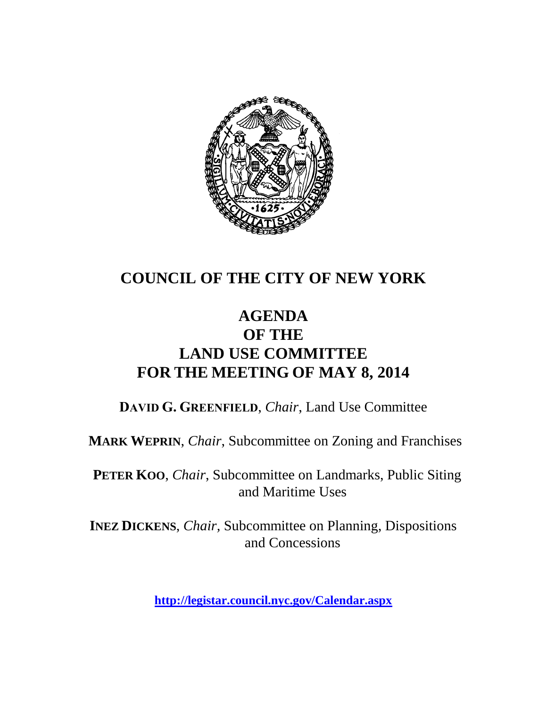

## **COUNCIL OF THE CITY OF NEW YORK**

## **AGENDA OF THE LAND USE COMMITTEE FOR THE MEETING OF MAY 8, 2014**

**DAVID G. GREENFIELD**, *Chair*, Land Use Committee

**MARK WEPRIN**, *Chair*, Subcommittee on Zoning and Franchises

**PETER KOO**, *Chair*, Subcommittee on Landmarks, Public Siting and Maritime Uses

**INEZ DICKENS**, *Chair,* Subcommittee on Planning, Dispositions and Concessions

**<http://legistar.council.nyc.gov/Calendar.aspx>**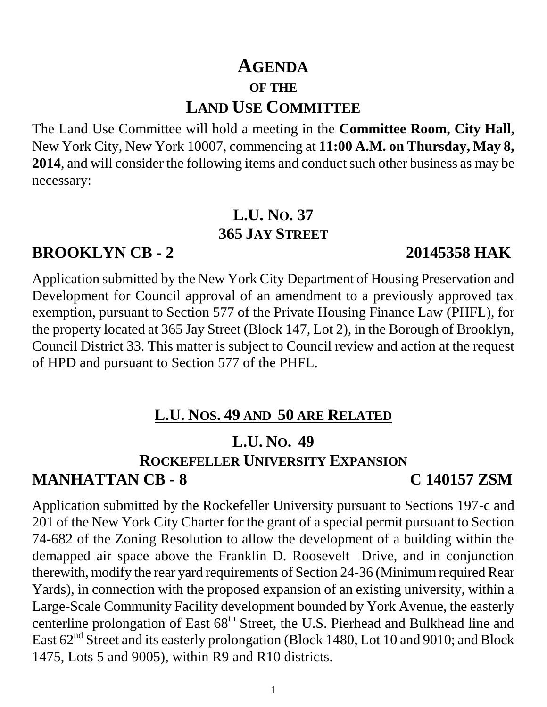# **AGENDA OF THE LAND USE COMMITTEE**

The Land Use Committee will hold a meeting in the **Committee Room, City Hall,**  New York City, New York 10007, commencing at **11:00 A.M. on Thursday, May 8, 2014**, and will consider the following items and conduct such other business as may be necessary:

### **L.U. NO. 37 365 JAY STREET**

### **BROOKLYN CB - 2 20145358 HAK**

Application submitted by the New York City Department of Housing Preservation and Development for Council approval of an amendment to a previously approved tax exemption, pursuant to Section 577 of the Private Housing Finance Law (PHFL), for the property located at 365 Jay Street (Block 147, Lot 2), in the Borough of Brooklyn, Council District 33. This matter is subject to Council review and action at the request of HPD and pursuant to Section 577 of the PHFL.

## **L.U. NOS. 49 AND 50 ARE RELATED**

## **L.U. NO. 49**

### **ROCKEFELLER UNIVERSITY EXPANSION**

## **MANHATTAN CB - 8 C 140157 ZSM**

Application submitted by the Rockefeller University pursuant to Sections 197-c and 201 of the New York City Charter for the grant of a special permit pursuant to Section 74-682 of the Zoning Resolution to allow the development of a building within the demapped air space above the Franklin D. Roosevelt Drive, and in conjunction therewith, modify the rear yard requirements of Section 24-36 (Minimum required Rear Yards), in connection with the proposed expansion of an existing university, within a Large-Scale Community Facility development bounded by York Avenue, the easterly centerline prolongation of East 68<sup>th</sup> Street, the U.S. Pierhead and Bulkhead line and East  $62<sup>nd</sup>$  Street and its easterly prolongation (Block 1480, Lot 10 and 9010; and Block 1475, Lots 5 and 9005), within R9 and R10 districts.